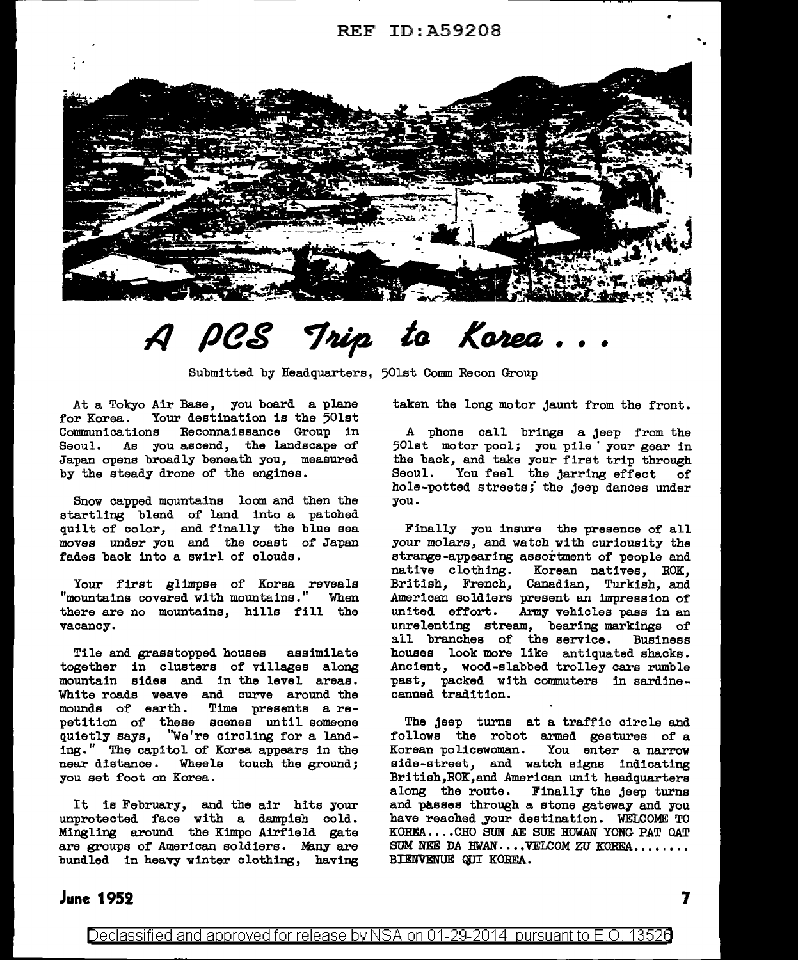

# **A peg** *to* • •

Submitted by Headquarters, 50lst Comm Recon Group

At a Tokyo Air Base, you board a plane for Korea. Your destination is the 50lst Communications Reconnaissance Group in Seoul. As you ascend, the landscape of' Japan opens broadly beneath you, measured by the steady drone of the engines.

Snow capped mountains loom and then the startling blend of land into a patched quilt of color, and finally the blue sea moves under you and the coast of' Japan fades back into a swirl of clouds.

Your first glimpse of Korea reveals "mountains covered with mountains." When there are no mountains, hills fill the vacancy.

Tile and grasstopped houses assimilate together in clusters of villages along mountain sides and in the level areas. White roads weave and curve around the mounds of earth. Time presents a re-Time presents a repetition of these scenes until someone quietly says, ''We're circling for a landing." The capitol of Korea appears in the near distance. Wheels touch the ground; you set foot on Korea.

It is February, and the air hits your unprotected face with a dampish cold. Mingling around the Kimpo Airfield gate are groups of American soldiers. Many are bundled in heavy winter clothing, having taken the long motor jaunt from the front.

A phone call brings a jeep from the 50lst motor *pool;* you pile · your gear in the back, and take your first trip through Seoul. You feel the jarring effect of hole-potted streets; the jeep dances under you.

Finally you insure the presence of all your molars, and watch with curiousity the strange-appearing assortment of people and native clothing. Korean natives. ROK. Korean natives, ROK, British, French, Canadian, Turkish, and American soldiers present an impression of united effort. Army vehicles pass in an unrelenting stream, bearing markings of all branches of the service. Business houses look more like antiquated shacks. Ancient, wood-slabbed trolley cars rumble past, packed with commuters in sardinecanned tradition.

The jeep turns at a traffic circle and follows the robot armed gestures of a Korean policewoman. You enter a narrow side-street, and watch signs indicating British,ROK,and American unit headquarters along the route. Finally the jeep turns and passes through a stone gateway and you have reached your destination. WELCOME TO KOREA ...• CHO SUN AE SUE HOWAN YONG PAT OAT SUM NEE DA HWAN ... VELCOM ZU KOREA....... BIENVENUE QUI KOREA.

## **June 1952**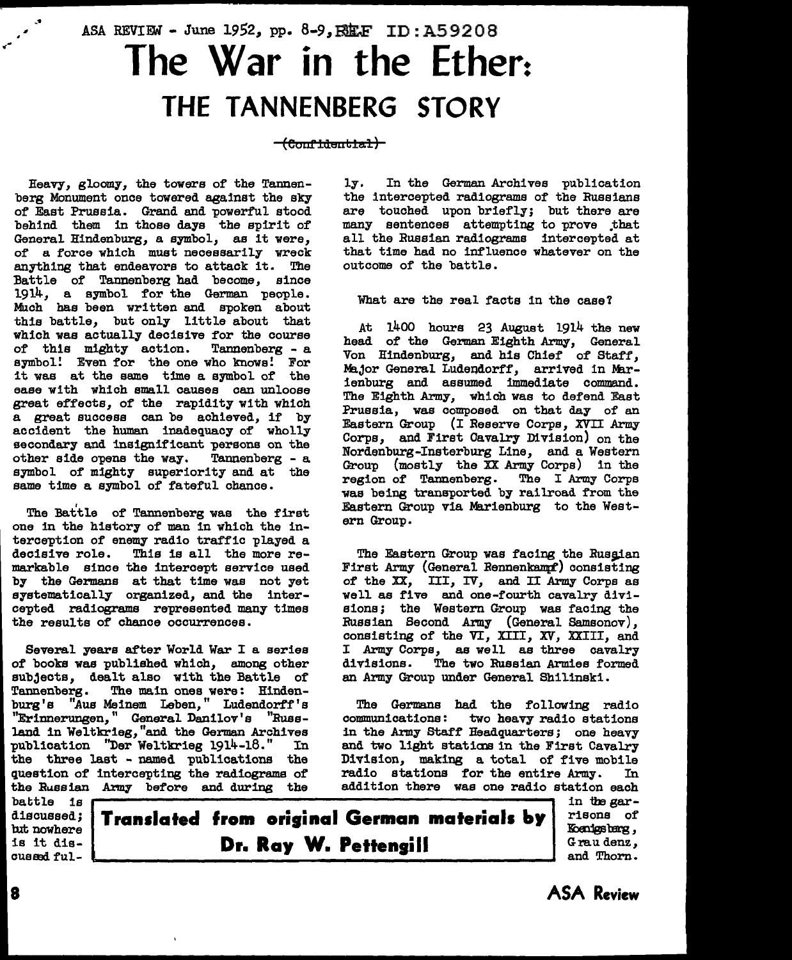# ASA REVIEW - June 1952, pp. 8-9, RELF ID: A59208 **The War in the Ether: THE TANNENBERG STORY**

### $-\text{(Cont-ident)}$

Heavy, gloomy, the towers of the Tannenberg Monument once towered against the sky of East Prussia. Grand and powerful stood behind them in those days the spirit of General Hindenburg, a symbol, as it were, of a force which must necessarily wreck anything that endeavors to attack it. The Battle of Tannenberg had become, since 1914, a symbol for the German people. Much has been written and spoken about this battle, but only little about that which was actually decisive for the course<br>of this mighty action. Tannenberg - a of this mighty action. symbol! Even for the one who knows! For it was at the same time a symbol of the ease with which small causes can unloose great effects, of the rapidity with which a great success can be achieved, if by accident the human inadequacy of wholly secondary and insignificant persons on the other side opens the way. Tannenberg - a symbol of mighty superiority and at the same time a symbol of fateful chance.

The Battle of Tannenberg was the first one in the history of man in which the interception of enemy radio traffic played a<br>decisive role. This is all the more re-This is all the more remarkable since the intercept service used by the Germans at that time was not yet systematically organized, and the intercepted radiograms represented many times the results of chance occurrences.

Several years after World War I a series of books was published which, among other subjects, dealt also with the Battle of Tannenberg. The main ones were: Hindenburg's "Aus Meinem Leben," Ludendorff's "Erinnerungen, "General Danilov's "Russland in Weltkrieg,"and the German Archives publication ''Der Weltkrieg 1914-18." In the three last - named publications the question of intercepting the radiograms of the Russian Army before and during the

battle is lut nowhere is it discus89d fully. In the German Archives publication the intercepted radiograms of the Russians are touched upon briefly; but there are many sentences attempting to prove .that all the Russian radiograms intercepted at that time had no influence whatever on the outcome of the battle.

What are the real facts in the case?

At 1400 hours 23 August 1914 the new head of the German Eighth Army, General Von Hindenburg, and his Chief of Staff, Major General Ludendorff, arrived in Marienburg and assumed immediate command. The Eighth Army, which was to defend East Prussia, was composed on that day of an Eastern Group (I Reserve Corps, XVII Army Corps, and First Cavalry Division) on the Nordenburg-Insterburg Line, and a Western Group {mostly the XX Army Corps) in the region of Tannenberg. The I Army Corps was being transported by railroad from the Eastern Group via Marienburg to the Western Group.

The Eastern Group was facing the Russian First Army (General Rennenkammf) consisting of the XX, III, IV, and II Army Corps as well as five and one-fourth cavalry divisions; the Western Group was facing the Russian Second Army (General Samsonov), consisting of the VI, XIII, XV, XXIII, and I Army Corps, as well as three cavalry divisions. The two Russian Armies formed an Army Group under General Shilinski.

The Germans had the following radio communications: two heavy radio stations in the Army Staff Headquarters; one heavy and two light stations in the First Cavalry Division, making a total of five mobile radio stations for the entire Army. In addition there was one radio station each

discussed; **Translated from orisinal German materials lty Dr. Ray W. Pettensill** 

**8 ASA Review** 

in the garrisons of Koenigsbarg, Grau denz, and Thorn.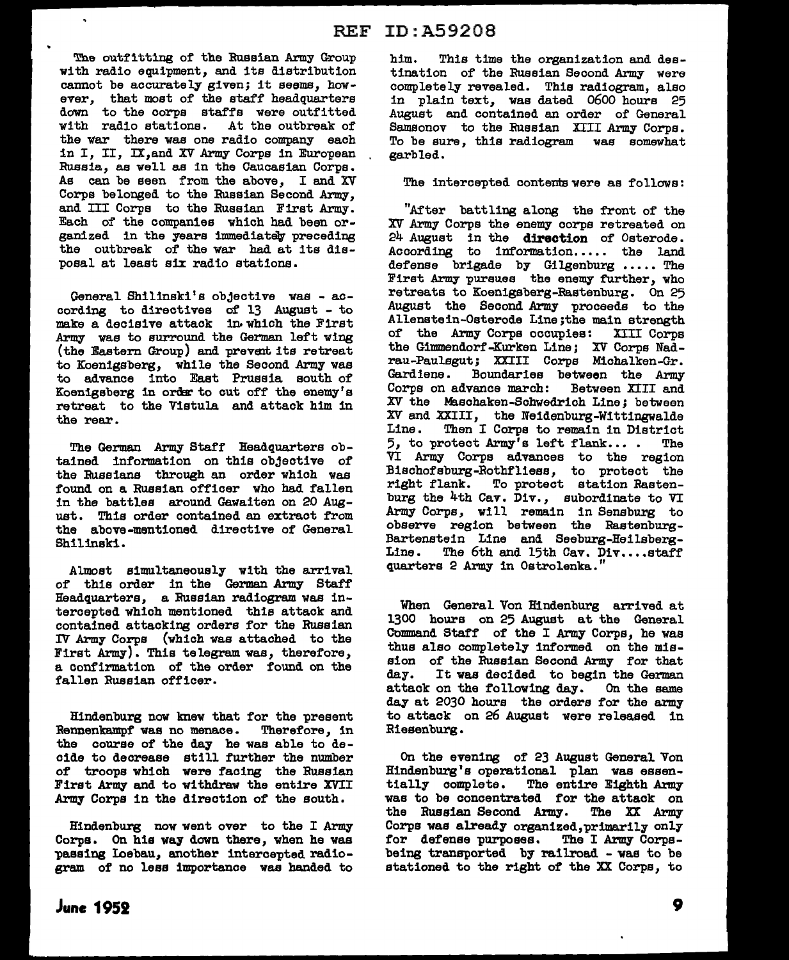The outfitting of the Russian Army Group with radio equipment, and its distribution cannot be accurately given; it seems, however, that most of the staff headquarters down to the corps staffs were outfitted with radio stations. At the outbreak of the war there was one radio company each in I, II, IX,and XV Army Corps in European Russia, as well as in the Caucasian Corps. As can be seen from the above, I and *XV*  Corps belonged to the Russian Second Army, and III Corps to the Russian First Army. Each of the companies which had been organized in the years immediately preceding the outbreak of the war had at its disposal at least six radio stations.

 $\ddot{\phantom{1}}$ 

General Shilinski's objective was - according to directives of 13 August - to make a decisive attack in.which the First Army was to surround the German left wing (the Eastern Group) and prevent its retreat to Koenigsberg, while the Second Army was to advance into East Prussia south of Koenigsberg in order to cut off the enemy's retreat to the Vistula and attack him in the rear.

The German Army Staff Headquarters obtained information on this objective of the Russians through an order which was found on a Russian officer who had fallen in the battles around Gawaiten on 20 August. This order contained an extract from the above-mentioned directive of General Shilinski.

Almost simultaneously with the arrival of this order in the German Army Staff Headquarters, a Russian radiogram was intercepted which mentioned this attack and contained attacking orders for the Russian IV Army Corpe (which was attached to the First Army). Thia telegram was, therefore, a confirmation of the order found on the fallen Russian officer.

Hindenburg now knew that for the present Rennenkampf was no menace. Therefore, in the course of the day he was able to decide to decrease still further the number of troops which were facing the Russian First Army and to withdraw the entire XVII Army Corps in the direction of the south.

Hindenburg now went over to the I Army Corps. On his way down there, when he was passing Loebau, another intercepted radiogram of no less importance was handed to him. This time the organization and destination of the Russian Second Army were completely revealed. This radiogram, also in plain text, was dated 0600 hours 25 August and contained an order of General Samsonov to the Russian XIII Army Corps. To be sure, this radiogram was somewhat garbled.

The intercepted contents were as follows:

"After battling along the front of the XV Army Corps the enemy corps retreated on 24 August in the direction of Osterode. According to information..... the land defense brigade by Gilgenburg ••••• The First Army pursues the enemy further, who retreats to Koenigsberg-Rastenburg. On 25 August the Second Army proceeds to the Allenstein-Osterode Line; the main strength of the Army Corps occupies: XIII Corpe the Gimmendorf-Kurken Line; *XV* Corps Nadrau-Paulsgut; XXIII Corps Michalken-Gr. Gardiene. Boundaries between the Army Corps on advance march: Between XIII and XV the Maschaken-Schwedrich Line; between *XV* and XXIII, the Neidenburg-Wittingwalde Line. Then I Corps to remain in District 5, to protect Army's left flank... • The VI Army Corps advances to the region Biachofsburg-Rothfliess, to protect the right flank. To protect station Rastenburg the 4th Cav. Div., subordinate to VI Army Corps, will remain in Sensburg to observe region between the Rastenburg-Bartenstein Line and Seeburg-Heilsberg-The 6th and 15th Cav. Div....staff quarters 2 Amy in Ostrolenka. ''

When General Von Hindenburg arrived at 1300 hours on 25 August at the General Command Staff of the I Army Corps, he was thus also completely informed on the mission of the Russian Second Army for that day. It was decided to begin the German It was decided to begin the German attack on the following day. On the same day at 2030 hours the orders for the army to attack on 26 August were released in Riesenburg.

On the evening of 23 August General Von Hindenburg's operational plan was essen-<br>tially complete. The entire Eighth Army The entire Eighth Army was to be concentrated for the attack on<br>the Russian Second Army. The XX Army the Russian Second Army. Corps was already organized,primarily only for defense purposes. The I Army Corpsbeing transported by railroad - was to be stationed to the right of the XX Corps, to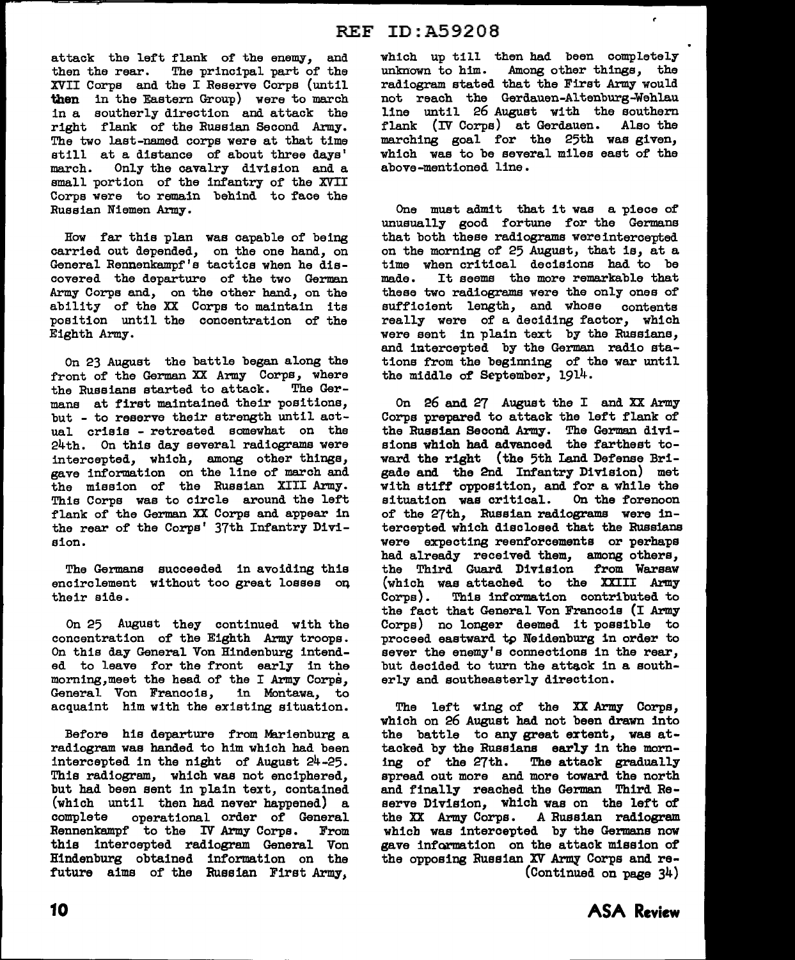attack the left flank of the enemy, and<br>then the rear. The principal part of the The principal part of the XVII Corpe and the I Reserve Corpe (until then in the Eastern Group) were to march in a southerly direction and attack the right flank of the Russian Second Army. The two last-named corps were at that time still at a distance of about three days' march. Only the cavalry division and a small portion of the infantry of the XVII Corpe were to remain behind to face the Russian Nieman Army.

How far this plan was capable of being carried out depended, on the one hand, on General Rennenkampf'e tactics when he discovered the departure of the two German Army Corpe and, on the other hand, on the ability of the XX Corpe to maintain its position until the concentration of the Eighth Army.

On 23 August the battle began along the front of the German XX Army Corps, where<br>the Russians started to attack. The Gerthe Russians started to attack. mane at first maintained their positions, but - to reserve their strength until actual crisis - retreated somewhat on the 24th. On this day several radiograms were intercepted, which, among other things, gave information on the line of march and the mission of the Russian XIII Army. Thia Corpe was to circle around the left flank of the German XX Corps and appear in the rear of the Corps' 37th Infantry Division.

The Germans succeeded in avoiding this encirclement without too great losses oq their aide.

On 25 August they continued with the concentration of the Eighth Army troops. On this day General Von Hindenburg intended to leave for the front early in the morning,meet the head of the I Army Corps, General Von Francois, in Montawa, to acquaint him with the existing situation.

Before hie departure from Marienburg a radiogram was handed to him which had been intercepted in the night of August 24-25. This radiogram, which was not enciphered, but had been sent in plain text, contained (which until then had never happened) a operational order of General Rennenkampf to the IV Army Corps. From this intercepted radiogram General Von Hindenburg obtained information on the future aims of the Russian First Army,

which up till then had been completely unknown to him. Among other things, the radiogram stated that the First Army would not reach the Gerdauen-Altenburg-Wehlau line until 26 August with the southern flank (IV Corps) at Gerdauen. Also the marching goal for the 25th was given, which was to be several miles east of the above-mentioned line.

 $\epsilon$ 

One must admit that it was a piece of unusually good fortune for the Germane that both these radiograms wereintercepted on the morning of 25 August, that is, at a time when critical decisions had to be made. It seems the more remarkable that It seems the more remarkable that these two radiograms were the only ones of sufficient length, and whose contents really were of a deciding factor, which were sent in plain text by the Russians, and intercepted by the German radio stations from the beginning of the war until the middle of September, 1914.

On 26 and 27 August the I and XX Army Corps prepared to attack the left flank of the Russian Second Army. The German divisions which had advanced the farthest toward the right (the 5th Land Defense Brigade and the 2nd Infantry Division) met with stiff opposition, and for a while the situation was critical. On the forenoon of the 27th, Russian radiograms were intercepted which disclosed that the Russians were expecting reenforcements or perhaps had already received them, among others, the Third Guard Division from Warsaw (which was attached to the XXIII Army<br>Corps). This information contributed to This information contributed to the fact that General Von Francois (I Army Corps) no longer deemed it possible to proceed eastward tp Neidenburg 1n order to sever the enemy's connections in the rear, but decided to turn the attack in a southerly and southeasterly direction.

The left wing of the XX Army Corps, which on 26 August had not been drawn into the battle to any great extent, was attacked by the Russians early in the morn-<br>ing of the 27th. The attack gradually The attack gradually spread out more and more toward the north and finally reached the German Third Reserve Division, which was on the left of<br>the XX Army Corps. A Russian radiogram A Russian radiogram which was intercepted by the Germana now gave information on the attack mission of the opposing Russian XV Army Corps and re-(Continued on page 34)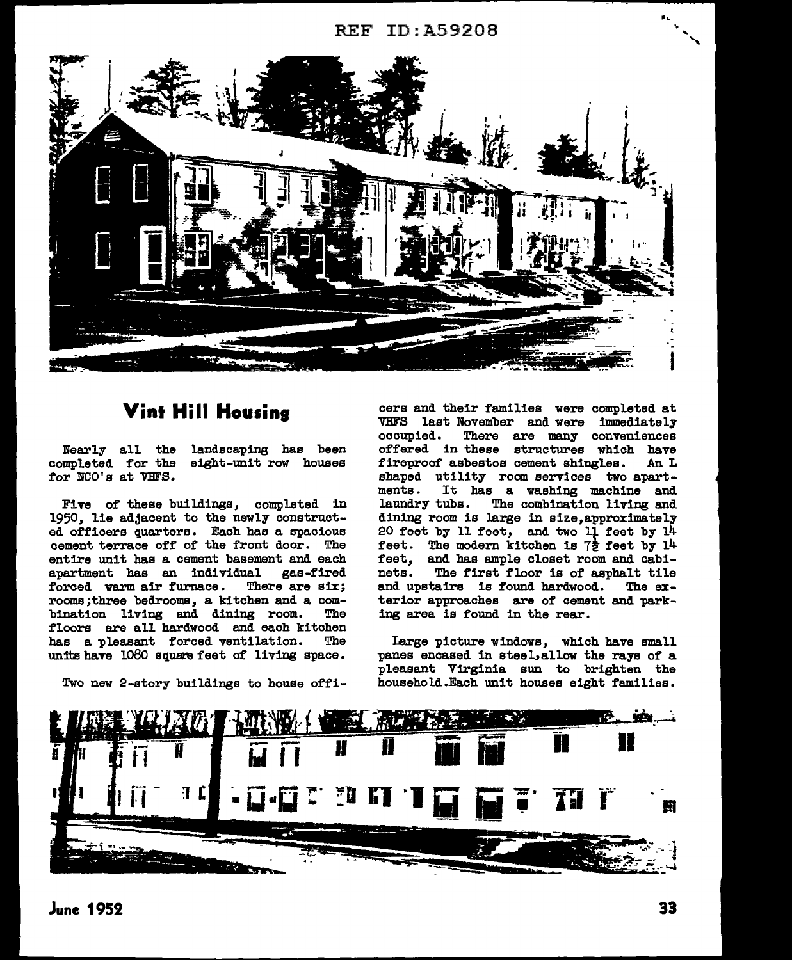## REF ID: A59208



## **Vint Hill Housing**

Nearly all the landscaping has been completed for the eight-unit row houses for NCO's at VHFS.

Five of these buildings, completed in 1950, lie adjacent to the newly constructed officers quarters. Each has a spacious cement terrace off of the front door. The entire unit has a cement basement and each apartment has an individual gas-fired apartment has an individual gas-fired forced warm air furnace. rooms;three bedrooms, a kitchen and a combination living and dining room. floors are all hardwood and each kitchen<br>has a pleasent forced ventilation. The has a pleasant forced ventilation. units have 1080 square feet of living space.

Two new 2-atory buildings to house offi-

cera and their families were completed at VBFS last November and were immediately There are many conveniences offered in these structures which have<br>fireproof asbestos cement shingles. An L fireproof asbestos cement shingles. shaped utility room services two apart-<br>ments. It has a washing machine and ments. It has a washing machine and<br>laundry tubs. The combination living and The combination living and dining room ia large in aize,approximately 20 feet by 11 feet, and two  $11$  feet by  $14$ feet. The modern kitchen is  $7\frac{1}{2}$  feet by 14 feet, and has ample closet room and cabi-<br>nets. The first floor is of asphalt tile The first floor is of asphalt tile<br>tairs is found hardwood. The exand upstairs is found hardwood. terior approaches are of cement and parking area ia found in the rear.

Large picture windows, which have small panes encased in eteel,allow the rays of a pleasant Virginia sun to brighten the household.Each unit houses eight families.



..